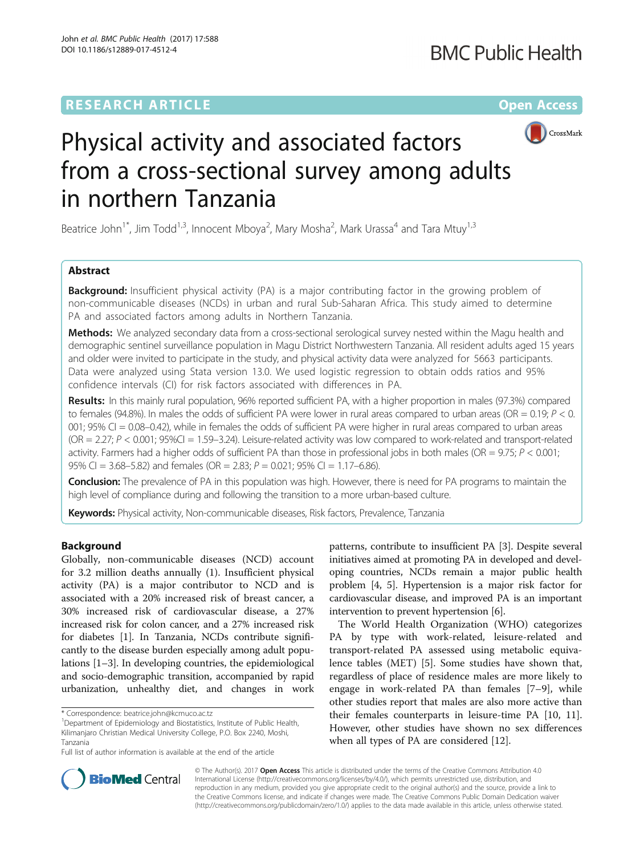# **RESEARCH ARTICLE Example 2014 12:30 The Contract of Contract ACCESS**



# Physical activity and associated factors from a cross-sectional survey among adults in northern Tanzania

Beatrice John<sup>1\*</sup>, Jim Todd<sup>1,3</sup>, Innocent Mboya<sup>2</sup>, Mary Mosha<sup>2</sup>, Mark Urassa<sup>4</sup> and Tara Mtuy<sup>1,3</sup>

# Abstract

**Background:** Insufficient physical activity (PA) is a major contributing factor in the growing problem of non-communicable diseases (NCDs) in urban and rural Sub-Saharan Africa. This study aimed to determine PA and associated factors among adults in Northern Tanzania.

**Methods:** We analyzed secondary data from a cross-sectional serological survey nested within the Magu health and demographic sentinel surveillance population in Magu District Northwestern Tanzania. All resident adults aged 15 years and older were invited to participate in the study, and physical activity data were analyzed for 5663 participants. Data were analyzed using Stata version 13.0. We used logistic regression to obtain odds ratios and 95% confidence intervals (CI) for risk factors associated with differences in PA.

Results: In this mainly rural population, 96% reported sufficient PA, with a higher proportion in males (97.3%) compared to females (94.8%). In males the odds of sufficient PA were lower in rural areas compared to urban areas (OR =  $0.19$ ;  $P < 0$ . 001; 95% CI = 0.08–0.42), while in females the odds of sufficient PA were higher in rural areas compared to urban areas  $(OR = 2.27; P < 0.001; 95\% CI = 1.59-3.24)$ . Leisure-related activity was low compared to work-related and transport-related activity. Farmers had a higher odds of sufficient PA than those in professional jobs in both males (OR =  $9.75; P < 0.001;$ 95% CI = 3.68-5.82) and females (OR = 2.83;  $P = 0.021$ ; 95% CI = 1.17-6.86).

Conclusion: The prevalence of PA in this population was high. However, there is need for PA programs to maintain the high level of compliance during and following the transition to a more urban-based culture.

Keywords: Physical activity, Non-communicable diseases, Risk factors, Prevalence, Tanzania

# Background

Globally, non-communicable diseases (NCD) account for 3.2 million deaths annually (1). Insufficient physical activity (PA) is a major contributor to NCD and is associated with a 20% increased risk of breast cancer, a 30% increased risk of cardiovascular disease, a 27% increased risk for colon cancer, and a 27% increased risk for diabetes [\[1\]](#page-7-0). In Tanzania, NCDs contribute significantly to the disease burden especially among adult populations [\[1](#page-7-0)–[3\]](#page-7-0). In developing countries, the epidemiological and socio-demographic transition, accompanied by rapid urbanization, unhealthy diet, and changes in work

patterns, contribute to insufficient PA [[3](#page-7-0)]. Despite several initiatives aimed at promoting PA in developed and developing countries, NCDs remain a major public health problem [\[4](#page-7-0), [5\]](#page-7-0). Hypertension is a major risk factor for cardiovascular disease, and improved PA is an important intervention to prevent hypertension [[6](#page-7-0)].

The World Health Organization (WHO) categorizes PA by type with work-related, leisure-related and transport-related PA assessed using metabolic equivalence tables (MET) [[5\]](#page-7-0). Some studies have shown that, regardless of place of residence males are more likely to engage in work-related PA than females [\[7](#page-7-0)–[9\]](#page-7-0), while other studies report that males are also more active than their females counterparts in leisure-time PA [[10, 11](#page-7-0)]. However, other studies have shown no sex differences when all types of PA are considered [[12](#page-7-0)].



© The Author(s). 2017 **Open Access** This article is distributed under the terms of the Creative Commons Attribution 4.0 International License [\(http://creativecommons.org/licenses/by/4.0/](http://creativecommons.org/licenses/by/4.0/)), which permits unrestricted use, distribution, and reproduction in any medium, provided you give appropriate credit to the original author(s) and the source, provide a link to the Creative Commons license, and indicate if changes were made. The Creative Commons Public Domain Dedication waiver [\(http://creativecommons.org/publicdomain/zero/1.0/](http://creativecommons.org/publicdomain/zero/1.0/)) applies to the data made available in this article, unless otherwise stated.

<sup>\*</sup> Correspondence: [beatrice.john@kcmuco.ac.tz](mailto:beatrice.john@kcmuco.ac.tz) <sup>1</sup>

<sup>&</sup>lt;sup>1</sup>Department of Epidemiology and Biostatistics, Institute of Public Health, Kilimanjaro Christian Medical University College, P.O. Box 2240, Moshi, Tanzania

Full list of author information is available at the end of the article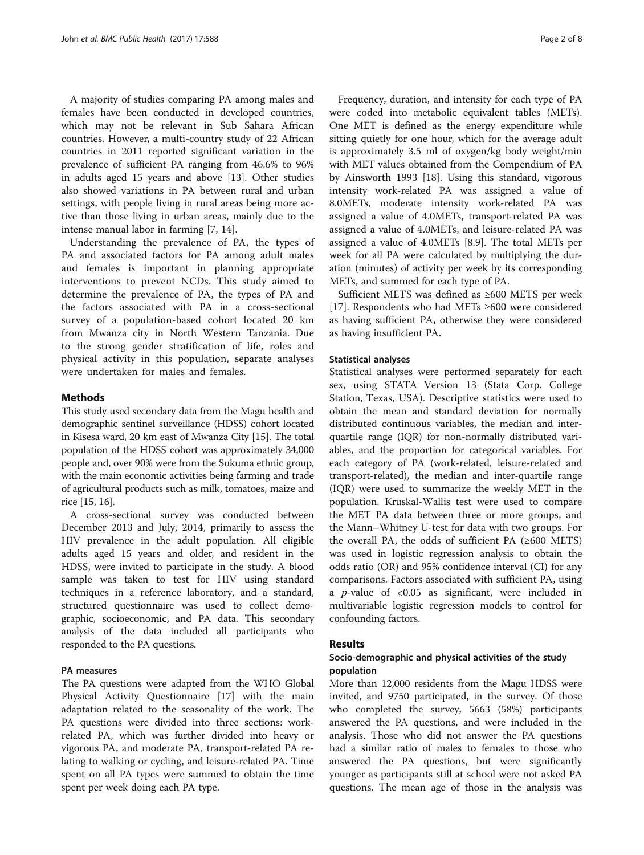A majority of studies comparing PA among males and females have been conducted in developed countries, which may not be relevant in Sub Sahara African countries. However, a multi-country study of 22 African countries in 2011 reported significant variation in the prevalence of sufficient PA ranging from 46.6% to 96% in adults aged 15 years and above [\[13](#page-7-0)]. Other studies also showed variations in PA between rural and urban settings, with people living in rural areas being more active than those living in urban areas, mainly due to the intense manual labor in farming [[7, 14](#page-7-0)].

Understanding the prevalence of PA, the types of PA and associated factors for PA among adult males and females is important in planning appropriate interventions to prevent NCDs. This study aimed to determine the prevalence of PA, the types of PA and the factors associated with PA in a cross-sectional survey of a population-based cohort located 20 km from Mwanza city in North Western Tanzania. Due to the strong gender stratification of life, roles and physical activity in this population, separate analyses were undertaken for males and females.

# **Methods**

This study used secondary data from the Magu health and demographic sentinel surveillance (HDSS) cohort located in Kisesa ward, 20 km east of Mwanza City [\[15\]](#page-7-0). The total population of the HDSS cohort was approximately 34,000 people and, over 90% were from the Sukuma ethnic group, with the main economic activities being farming and trade of agricultural products such as milk, tomatoes, maize and rice [\[15, 16](#page-7-0)].

A cross-sectional survey was conducted between December 2013 and July, 2014, primarily to assess the HIV prevalence in the adult population. All eligible adults aged 15 years and older, and resident in the HDSS, were invited to participate in the study. A blood sample was taken to test for HIV using standard techniques in a reference laboratory, and a standard, structured questionnaire was used to collect demographic, socioeconomic, and PA data. This secondary analysis of the data included all participants who responded to the PA questions.

# PA measures

The PA questions were adapted from the WHO Global Physical Activity Questionnaire [\[17](#page-7-0)] with the main adaptation related to the seasonality of the work. The PA questions were divided into three sections: workrelated PA, which was further divided into heavy or vigorous PA, and moderate PA, transport-related PA relating to walking or cycling, and leisure-related PA. Time spent on all PA types were summed to obtain the time spent per week doing each PA type.

Frequency, duration, and intensity for each type of PA were coded into metabolic equivalent tables (METs). One MET is defined as the energy expenditure while sitting quietly for one hour, which for the average adult is approximately 3.5 ml of oxygen/kg body weight/min with MET values obtained from the Compendium of PA by Ainsworth 1993 [[18\]](#page-7-0). Using this standard, vigorous intensity work-related PA was assigned a value of 8.0METs, moderate intensity work-related PA was assigned a value of 4.0METs, transport-related PA was assigned a value of 4.0METs, and leisure-related PA was assigned a value of 4.0METs [8.9]. The total METs per week for all PA were calculated by multiplying the duration (minutes) of activity per week by its corresponding METs, and summed for each type of PA.

Sufficient METS was defined as ≥600 METS per week [[17\]](#page-7-0). Respondents who had METs ≥600 were considered as having sufficient PA, otherwise they were considered as having insufficient PA.

# Statistical analyses

Statistical analyses were performed separately for each sex, using STATA Version 13 (Stata Corp. College Station, Texas, USA). Descriptive statistics were used to obtain the mean and standard deviation for normally distributed continuous variables, the median and interquartile range (IQR) for non-normally distributed variables, and the proportion for categorical variables. For each category of PA (work-related, leisure-related and transport-related), the median and inter-quartile range (IQR) were used to summarize the weekly MET in the population. Kruskal-Wallis test were used to compare the MET PA data between three or more groups, and the Mann–Whitney U-test for data with two groups. For the overall PA, the odds of sufficient PA  $(≥600$  METS) was used in logistic regression analysis to obtain the odds ratio (OR) and 95% confidence interval (CI) for any comparisons. Factors associated with sufficient PA, using a *p*-value of  $< 0.05$  as significant, were included in multivariable logistic regression models to control for confounding factors.

# Results

# Socio-demographic and physical activities of the study population

More than 12,000 residents from the Magu HDSS were invited, and 9750 participated, in the survey. Of those who completed the survey, 5663 (58%) participants answered the PA questions, and were included in the analysis. Those who did not answer the PA questions had a similar ratio of males to females to those who answered the PA questions, but were significantly younger as participants still at school were not asked PA questions. The mean age of those in the analysis was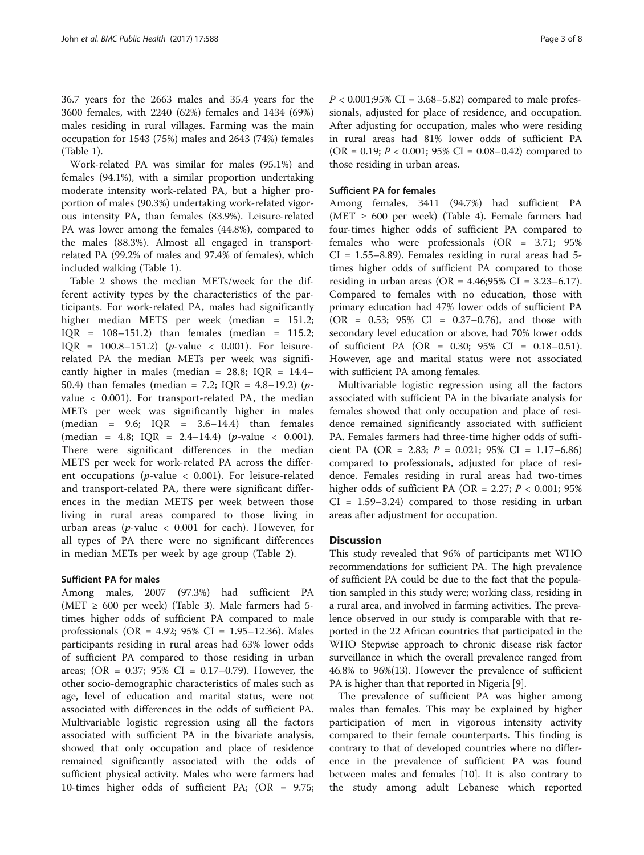36.7 years for the 2663 males and 35.4 years for the 3600 females, with 2240 (62%) females and 1434 (69%) males residing in rural villages. Farming was the main occupation for 1543 (75%) males and 2643 (74%) females (Table [1\)](#page-3-0).

Work-related PA was similar for males (95.1%) and females (94.1%), with a similar proportion undertaking moderate intensity work-related PA, but a higher proportion of males (90.3%) undertaking work-related vigorous intensity PA, than females (83.9%). Leisure-related PA was lower among the females (44.8%), compared to the males (88.3%). Almost all engaged in transportrelated PA (99.2% of males and 97.4% of females), which included walking (Table [1](#page-3-0)).

Table [2](#page-4-0) shows the median METs/week for the different activity types by the characteristics of the participants. For work-related PA, males had significantly higher median METS per week (median = 151.2;  $IOR = 108-151.2$ ) than females (median = 115.2;  $IQR = 100.8 - 151.2$  (*p*-value < 0.001). For leisurerelated PA the median METs per week was significantly higher in males (median =  $28.8$ ; IQR =  $14.4-$ 50.4) than females (median = 7.2; IQR = 4.8-19.2) ( $p$ value < 0.001). For transport-related PA, the median METs per week was significantly higher in males  $(median = 9.6; IQR = 3.6-14.4)$  than females  $(median = 4.8; IQR = 2.4-14.4)$   $(p-value < 0.001)$ . There were significant differences in the median METS per week for work-related PA across the different occupations ( $p$ -value < 0.001). For leisure-related and transport-related PA, there were significant differences in the median METS per week between those living in rural areas compared to those living in urban areas ( $p$ -value < 0.001 for each). However, for all types of PA there were no significant differences in median METs per week by age group (Table [2\)](#page-4-0).

# Sufficient PA for males

Among males, 2007 (97.3%) had sufficient PA (MET  $\geq$  600 per week) (Table [3\)](#page-5-0). Male farmers had 5times higher odds of sufficient PA compared to male professionals (OR = 4.92; 95% CI = 1.95–12.36). Males participants residing in rural areas had 63% lower odds of sufficient PA compared to those residing in urban areas; (OR = 0.37; 95% CI = 0.17–0.79). However, the other socio-demographic characteristics of males such as age, level of education and marital status, were not associated with differences in the odds of sufficient PA. Multivariable logistic regression using all the factors associated with sufficient PA in the bivariate analysis, showed that only occupation and place of residence remained significantly associated with the odds of sufficient physical activity. Males who were farmers had 10-times higher odds of sufficient PA; (OR = 9.75;  $P < 0.001;95\% \text{ CI} = 3.68 - 5.82$  compared to male professionals, adjusted for place of residence, and occupation. After adjusting for occupation, males who were residing in rural areas had 81% lower odds of sufficient PA  $(OR = 0.19; P < 0.001; 95\% CI = 0.08-0.42)$  compared to those residing in urban areas.

# Sufficient PA for females

Among females, 3411 (94.7%) had sufficient PA (MET  $\geq$  600 per week) (Table [4](#page-6-0)). Female farmers had four-times higher odds of sufficient PA compared to females who were professionals (OR = 3.71; 95%  $CI = 1.55-8.89$ . Females residing in rural areas had 5times higher odds of sufficient PA compared to those residing in urban areas (OR =  $4.46;95\%$  CI =  $3.23-6.17$ ). Compared to females with no education, those with primary education had 47% lower odds of sufficient PA (OR = 0.53; 95% CI = 0.37–0.76), and those with secondary level education or above, had 70% lower odds of sufficient PA (OR = 0.30; 95% CI = 0.18–0.51). However, age and marital status were not associated with sufficient PA among females.

Multivariable logistic regression using all the factors associated with sufficient PA in the bivariate analysis for females showed that only occupation and place of residence remained significantly associated with sufficient PA. Females farmers had three-time higher odds of sufficient PA (OR = 2.83;  $P = 0.021$ ; 95% CI = 1.17–6.86) compared to professionals, adjusted for place of residence. Females residing in rural areas had two-times higher odds of sufficient PA (OR = 2.27;  $P < 0.001$ ; 95%  $CI = 1.59 - 3.24$  compared to those residing in urban areas after adjustment for occupation.

# **Discussion**

This study revealed that 96% of participants met WHO recommendations for sufficient PA. The high prevalence of sufficient PA could be due to the fact that the population sampled in this study were; working class, residing in a rural area, and involved in farming activities. The prevalence observed in our study is comparable with that reported in the 22 African countries that participated in the WHO Stepwise approach to chronic disease risk factor surveillance in which the overall prevalence ranged from 46.8% to 96%(13). However the prevalence of sufficient PA is higher than that reported in Nigeria [\[9\]](#page-7-0).

The prevalence of sufficient PA was higher among males than females. This may be explained by higher participation of men in vigorous intensity activity compared to their female counterparts. This finding is contrary to that of developed countries where no difference in the prevalence of sufficient PA was found between males and females [\[10\]](#page-7-0). It is also contrary to the study among adult Lebanese which reported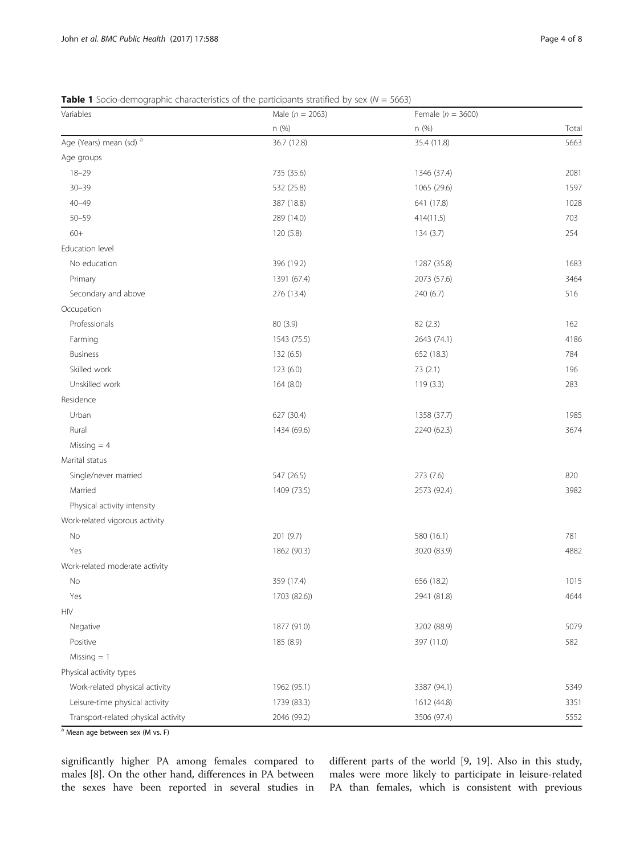<span id="page-3-0"></span>

| <b>Table 1</b> Socio-demographic characteristics of the participants stratified by sex ( $N = 5663$ ) |  |  |  |  |  |  |
|-------------------------------------------------------------------------------------------------------|--|--|--|--|--|--|
|-------------------------------------------------------------------------------------------------------|--|--|--|--|--|--|

| Variables                           | Male ( $n = 2063$ ) | Female ( $n = 3600$ ) |       |
|-------------------------------------|---------------------|-----------------------|-------|
|                                     | n (%)               | n (%)                 | Total |
| Age (Years) mean (sd) <sup>a</sup>  | 36.7 (12.8)         | 35.4 (11.8)           | 5663  |
| Age groups                          |                     |                       |       |
| $18 - 29$                           | 735 (35.6)          | 1346 (37.4)           | 2081  |
| $30 - 39$                           | 532 (25.8)          | 1065 (29.6)           | 1597  |
| $40 - 49$                           | 387 (18.8)          | 641 (17.8)            | 1028  |
| $50 - 59$                           | 289 (14.0)          | 414(11.5)             | 703   |
| $60+$                               | 120 (5.8)           | 134(3.7)              | 254   |
| Education level                     |                     |                       |       |
| No education                        | 396 (19.2)          | 1287 (35.8)           | 1683  |
| Primary                             | 1391 (67.4)         | 2073 (57.6)           | 3464  |
| Secondary and above                 | 276 (13.4)          | 240 (6.7)             | 516   |
| Occupation                          |                     |                       |       |
| Professionals                       | 80 (3.9)            | 82 (2.3)              | 162   |
| Farming                             | 1543 (75.5)         | 2643 (74.1)           | 4186  |
| <b>Business</b>                     | 132 (6.5)           | 652 (18.3)            | 784   |
| Skilled work                        | 123 (6.0)           | 73 (2.1)              | 196   |
| Unskilled work                      | 164 (8.0)           | 119(3.3)              | 283   |
| Residence                           |                     |                       |       |
| Urban                               | 627 (30.4)          | 1358 (37.7)           | 1985  |
| Rural                               | 1434 (69.6)         | 2240 (62.3)           | 3674  |
| Missing $=$ 4                       |                     |                       |       |
| Marital status                      |                     |                       |       |
| Single/never married                | 547 (26.5)          | 273 (7.6)             | 820   |
| Married                             | 1409 (73.5)         | 2573 (92.4)           | 3982  |
| Physical activity intensity         |                     |                       |       |
| Work-related vigorous activity      |                     |                       |       |
| No                                  | 201 (9.7)           | 580 (16.1)            | 781   |
| Yes                                 | 1862 (90.3)         | 3020 (83.9)           | 4882  |
| Work-related moderate activity      |                     |                       |       |
| No                                  | 359 (17.4)          | 656 (18.2)            | 1015  |
| Yes                                 | 1703 (82.6))        | 2941 (81.8)           | 4644  |
| <b>HIV</b>                          |                     |                       |       |
| Negative                            | 1877 (91.0)         | 3202 (88.9)           | 5079  |
| Positive                            | 185 (8.9)           | 397 (11.0)            | 582   |
| $Missing = 1$                       |                     |                       |       |
| Physical activity types             |                     |                       |       |
| Work-related physical activity      | 1962 (95.1)         | 3387 (94.1)           | 5349  |
| Leisure-time physical activity      | 1739 (83.3)         | 1612 (44.8)           | 3351  |
| Transport-related physical activity | 2046 (99.2)         | 3506 (97.4)           | 5552  |

 $a$  Mean age between sex (M vs. F)

significantly higher PA among females compared to males [\[8](#page-7-0)]. On the other hand, differences in PA between the sexes have been reported in several studies in different parts of the world [\[9, 19](#page-7-0)]. Also in this study, males were more likely to participate in leisure-related PA than females, which is consistent with previous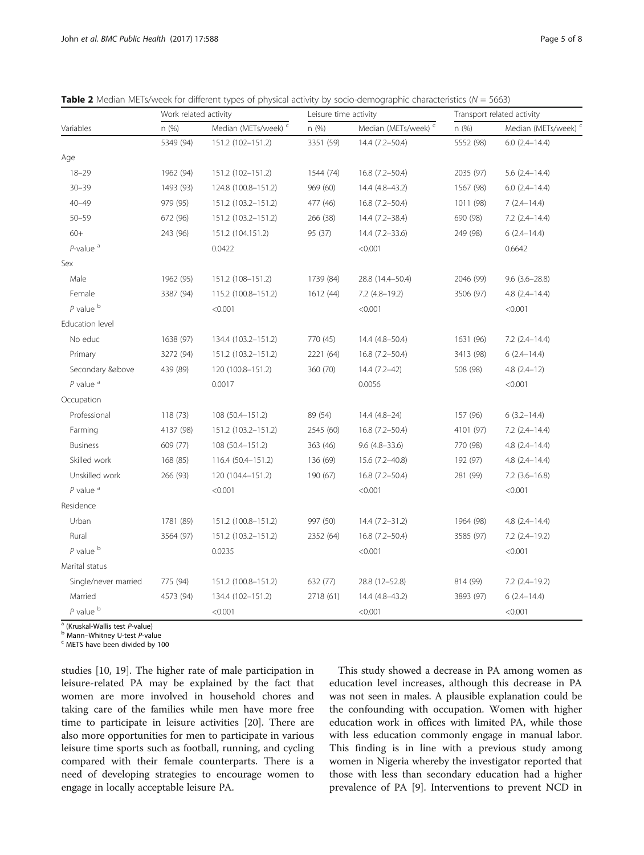|                         | Work related activity |                                 | Leisure time activity |                                 | Transport related activity |                      |
|-------------------------|-----------------------|---------------------------------|-----------------------|---------------------------------|----------------------------|----------------------|
| Variables               | n(%)                  | Median (METs/week) <sup>c</sup> | n (%)                 | Median (METs/week) <sup>c</sup> | n(%)                       | Median (METs/week)   |
|                         | 5349 (94)             | 151.2 (102-151.2)               | 3351 (59)             | 14.4 (7.2-50.4)                 | 5552 (98)                  | $6.0$ $(2.4-14.4)$   |
| Age                     |                       |                                 |                       |                                 |                            |                      |
| $18 - 29$               | 1962 (94)             | 151.2 (102-151.2)               | 1544 (74)             | 16.8 (7.2-50.4)                 | 2035 (97)                  | $5.6(2.4 - 14.4)$    |
| $30 - 39$               | 1493 (93)             | 124.8 (100.8-151.2)             | 969 (60)              | 14.4 (4.8-43.2)                 | 1567 (98)                  | $6.0$ $(2.4-14.4)$   |
| $40 - 49$               | 979 (95)              | 151.2 (103.2-151.2)             | 477 (46)              | 16.8 (7.2-50.4)                 | 1011 (98)                  | $7(2.4 - 14.4)$      |
| $50 - 59$               | 672 (96)              | 151.2 (103.2-151.2)             | 266 (38)              | 14.4 (7.2-38.4)                 | 690 (98)                   | $7.2$ $(2.4-14.4)$   |
| $60+$                   | 243 (96)              | 151.2 (104.151.2)               | 95 (37)               | 14.4 (7.2-33.6)                 | 249 (98)                   | $6(2.4 - 14.4)$      |
| $P$ -value <sup>a</sup> |                       | 0.0422                          |                       | < 0.001                         |                            | 0.6642               |
| Sex                     |                       |                                 |                       |                                 |                            |                      |
| Male                    | 1962 (95)             | 151.2 (108-151.2)               | 1739 (84)             | 28.8 (14.4-50.4)                | 2046 (99)                  | $9.6(3.6 - 28.8)$    |
| Female                  | 3387 (94)             | 115.2 (100.8-151.2)             | 1612 (44)             | $7.2$ (4.8-19.2)                | 3506 (97)                  | $4.8$ $(2.4 - 14.4)$ |
| $P$ value $b$           |                       | < 0.001                         |                       | < 0.001                         |                            | < 0.001              |
| Education level         |                       |                                 |                       |                                 |                            |                      |
| No educ                 | 1638 (97)             | 134.4 (103.2-151.2)             | 770 (45)              | 14.4 (4.8-50.4)                 | 1631 (96)                  | $7.2$ $(2.4-14.4)$   |
| Primary                 | 3272 (94)             | 151.2 (103.2-151.2)             | 2221 (64)             | 16.8 (7.2-50.4)                 | 3413 (98)                  | $6(2.4 - 14.4)$      |
| Secondary &above        | 439 (89)              | 120 (100.8-151.2)               | 360 (70)              | $14.4(7.2-42)$                  | 508 (98)                   | $4.8(2.4-12)$        |
| $P$ value $a$           |                       | 0.0017                          |                       | 0.0056                          |                            | < 0.001              |
| Occupation              |                       |                                 |                       |                                 |                            |                      |
| Professional            | 118 (73)              | 108 (50.4-151.2)                | 89 (54)               | $14.4(4.8-24)$                  | 157 (96)                   | $6(3.2 - 14.4)$      |
| Farming                 | 4137 (98)             | 151.2 (103.2-151.2)             | 2545 (60)             | 16.8 (7.2-50.4)                 | 4101 (97)                  | $7.2$ $(2.4 - 14.4)$ |
| <b>Business</b>         | 609 (77)              | 108 (50.4-151.2)                | 363 (46)              | $9.6$ $(4.8 - 33.6)$            | 770 (98)                   | $4.8(2.4 - 14.4)$    |
| Skilled work            | 168 (85)              | 116.4 (50.4-151.2)              | 136 (69)              | 15.6 (7.2-40.8)                 | 192 (97)                   | $4.8(2.4 - 14.4)$    |
| Unskilled work          | 266 (93)              | 120 (104.4-151.2)               | 190 (67)              | 16.8 (7.2-50.4)                 | 281 (99)                   | $7.2$ (3.6-16.8)     |
| $P$ value $a$           |                       | < 0.001                         |                       | < 0.001                         |                            | < 0.001              |
| Residence               |                       |                                 |                       |                                 |                            |                      |
| Urban                   | 1781 (89)             | 151.2 (100.8-151.2)             | 997 (50)              | $14.4(7.2 - 31.2)$              | 1964 (98)                  | $4.8$ $(2.4 - 14.4)$ |
| Rural                   | 3564 (97)             | 151.2 (103.2-151.2)             | 2352 (64)             | 16.8 (7.2-50.4)                 | 3585 (97)                  | $7.2$ (2.4-19.2)     |
| $P$ value $b$           |                       | 0.0235                          |                       | < 0.001                         |                            | < 0.001              |
| Marital status          |                       |                                 |                       |                                 |                            |                      |
| Single/never married    | 775 (94)              | 151.2 (100.8-151.2)             | 632 (77)              | 28.8 (12-52.8)                  | 814 (99)                   | $7.2$ $(2.4-19.2)$   |
| Married                 | 4573 (94)             | 134.4 (102-151.2)               | 2718 (61)             | 14.4 (4.8-43.2)                 | 3893 (97)                  | $6(2.4 - 14.4)$      |
| $P$ value $b$           |                       | < 0.001                         |                       | < 0.001                         |                            | < 0.001              |

<span id="page-4-0"></span>**Table 2** Median METs/week for different types of physical activity by socio-demographic characteristics ( $N = 5663$ )

<sup>a</sup> (Kruskal-Wallis test *P*-value)<br><sup>b</sup> Mann–Whitney U-test *P*-value<br><sup>c</sup> METS have been divided by 100

studies [\[10](#page-7-0), [19\]](#page-7-0). The higher rate of male participation in leisure-related PA may be explained by the fact that women are more involved in household chores and taking care of the families while men have more free time to participate in leisure activities [[20\]](#page-7-0). There are also more opportunities for men to participate in various leisure time sports such as football, running, and cycling compared with their female counterparts. There is a need of developing strategies to encourage women to engage in locally acceptable leisure PA.

This study showed a decrease in PA among women as education level increases, although this decrease in PA was not seen in males. A plausible explanation could be the confounding with occupation. Women with higher education work in offices with limited PA, while those with less education commonly engage in manual labor. This finding is in line with a previous study among women in Nigeria whereby the investigator reported that those with less than secondary education had a higher prevalence of PA [\[9\]](#page-7-0). Interventions to prevent NCD in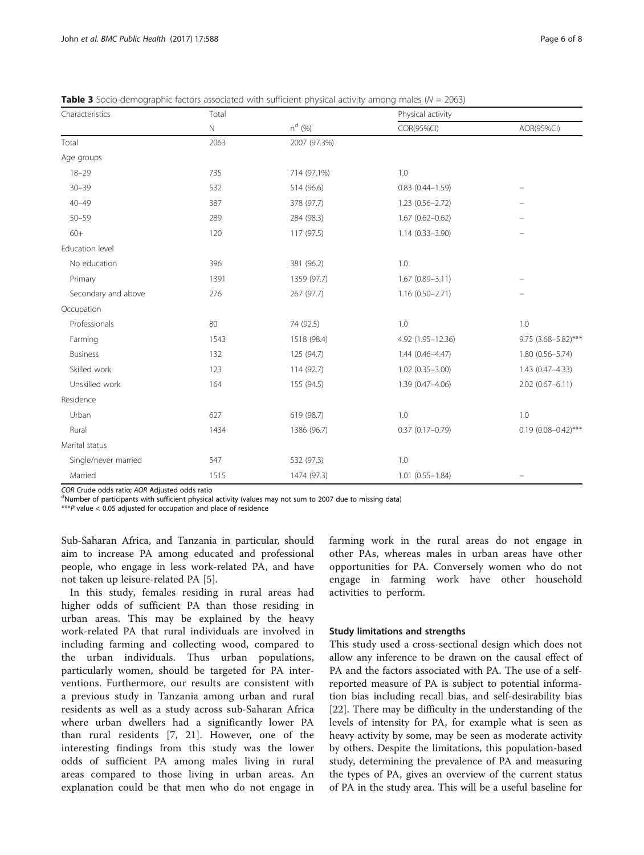| Characteristics      | Total       |              | Physical activity      |                         |  |
|----------------------|-------------|--------------|------------------------|-------------------------|--|
|                      | $\mathbb N$ | $n^{d}$ (%)  | COR(95%CI)             | AOR(95%CI)              |  |
| Total                | 2063        | 2007 (97.3%) |                        |                         |  |
| Age groups           |             |              |                        |                         |  |
| $18 - 29$            | 735         | 714 (97.1%)  | 1.0                    |                         |  |
| $30 - 39$            | 532         | 514 (96.6)   | $0.83$ $(0.44 - 1.59)$ |                         |  |
| $40 - 49$            | 387         | 378 (97.7)   | $1.23(0.56 - 2.72)$    |                         |  |
| $50 - 59$            | 289         | 284 (98.3)   | $1.67(0.62 - 0.62)$    |                         |  |
| $60+$                | 120         | 117 (97.5)   | $1.14(0.33 - 3.90)$    |                         |  |
| Education level      |             |              |                        |                         |  |
| No education         | 396         | 381 (96.2)   | 1.0                    |                         |  |
| Primary              | 1391        | 1359 (97.7)  | $1.67(0.89 - 3.11)$    |                         |  |
| Secondary and above  | 276         | 267 (97.7)   | $1.16(0.50 - 2.71)$    |                         |  |
| Occupation           |             |              |                        |                         |  |
| Professionals        | 80          | 74 (92.5)    | 1.0                    | 1.0                     |  |
| Farming              | 1543        | 1518 (98.4)  | 4.92 (1.95-12.36)      | 9.75 (3.68-5.82)***     |  |
| <b>Business</b>      | 132         | 125 (94.7)   | $1.44(0.46 - 4.47)$    | $1.80(0.56 - 5.74)$     |  |
| Skilled work         | 123         | 114 (92.7)   | $1.02(0.35 - 3.00)$    | $1.43(0.47 - 4.33)$     |  |
| Unskilled work       | 164         | 155 (94.5)   | 1.39 (0.47-4.06)       | $2.02(0.67 - 6.11)$     |  |
| Residence            |             |              |                        |                         |  |
| Urban                | 627         | 619 (98.7)   | 1.0                    | 1.0                     |  |
| Rural                | 1434        | 1386 (96.7)  | $0.37(0.17 - 0.79)$    | $0.19(0.08 - 0.42)$ *** |  |
| Marital status       |             |              |                        |                         |  |
| Single/never married | 547         | 532 (97.3)   | 1.0                    |                         |  |
| Married              | 1515        | 1474 (97.3)  | $1.01 (0.55 - 1.84)$   |                         |  |

<span id="page-5-0"></span>**Table 3** Socio-demographic factors associated with sufficient physical activity among males ( $N = 2063$ )

COR Crude odds ratio; AOR Adjusted odds ratio

<sup>d</sup>Number of participants with sufficient physical activity (values may not sum to 2007 due to missing data)

\*\*\*P value  $<$  0.05 adjusted for occupation and place of residence

Sub-Saharan Africa, and Tanzania in particular, should aim to increase PA among educated and professional people, who engage in less work-related PA, and have not taken up leisure-related PA [\[5](#page-7-0)].

In this study, females residing in rural areas had higher odds of sufficient PA than those residing in urban areas. This may be explained by the heavy work-related PA that rural individuals are involved in including farming and collecting wood, compared to the urban individuals. Thus urban populations, particularly women, should be targeted for PA interventions. Furthermore, our results are consistent with a previous study in Tanzania among urban and rural residents as well as a study across sub-Saharan Africa where urban dwellers had a significantly lower PA than rural residents [\[7](#page-7-0), [21\]](#page-7-0). However, one of the interesting findings from this study was the lower odds of sufficient PA among males living in rural areas compared to those living in urban areas. An explanation could be that men who do not engage in farming work in the rural areas do not engage in other PAs, whereas males in urban areas have other opportunities for PA. Conversely women who do not engage in farming work have other household activities to perform.

# Study limitations and strengths

This study used a cross-sectional design which does not allow any inference to be drawn on the causal effect of PA and the factors associated with PA. The use of a selfreported measure of PA is subject to potential information bias including recall bias, and self-desirability bias [[22\]](#page-7-0). There may be difficulty in the understanding of the levels of intensity for PA, for example what is seen as heavy activity by some, may be seen as moderate activity by others. Despite the limitations, this population-based study, determining the prevalence of PA and measuring the types of PA, gives an overview of the current status of PA in the study area. This will be a useful baseline for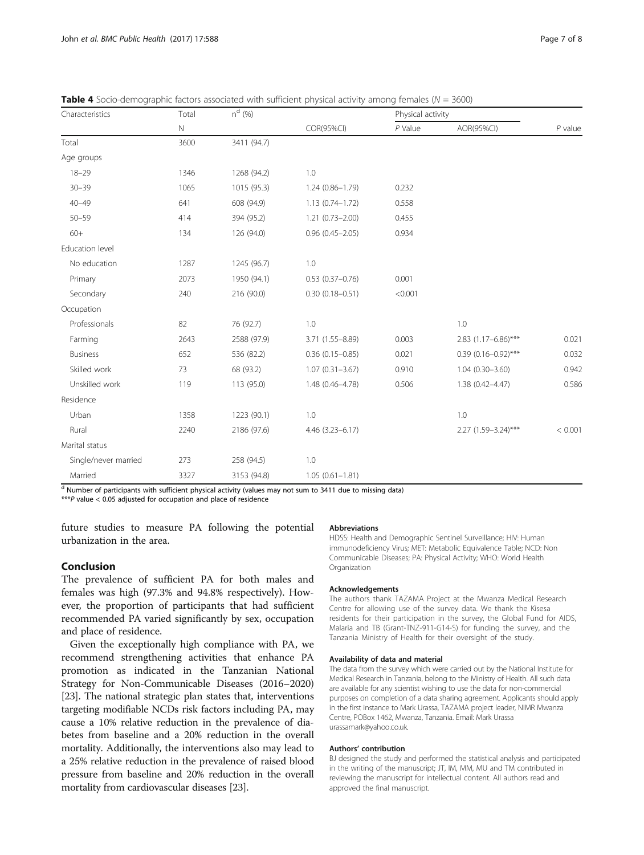| Characteristics      | Total       | $n^{d}$ (%) |                        | Physical activity |                         |           |
|----------------------|-------------|-------------|------------------------|-------------------|-------------------------|-----------|
|                      | $\mathbb N$ |             | COR(95%CI)             | $P$ Value         | AOR(95%CI)              | $P$ value |
| Total                | 3600        | 3411 (94.7) |                        |                   |                         |           |
| Age groups           |             |             |                        |                   |                         |           |
| $18 - 29$            | 1346        | 1268 (94.2) | 1.0                    |                   |                         |           |
| $30 - 39$            | 1065        | 1015 (95.3) | $1.24(0.86 - 1.79)$    | 0.232             |                         |           |
| $40 - 49$            | 641         | 608 (94.9)  | $1.13(0.74 - 1.72)$    | 0.558             |                         |           |
| $50 - 59$            | 414         | 394 (95.2)  | $1.21(0.73 - 2.00)$    | 0.455             |                         |           |
| $60+$                | 134         | 126 (94.0)  | $0.96(0.45 - 2.05)$    | 0.934             |                         |           |
| Education level      |             |             |                        |                   |                         |           |
| No education         | 1287        | 1245 (96.7) | 1.0                    |                   |                         |           |
| Primary              | 2073        | 1950 (94.1) | $0.53(0.37-0.76)$      | 0.001             |                         |           |
| Secondary            | 240         | 216 (90.0)  | $0.30(0.18 - 0.51)$    | < 0.001           |                         |           |
| Occupation           |             |             |                        |                   |                         |           |
| Professionals        | 82          | 76 (92.7)   | 1.0                    |                   | 1.0                     |           |
| Farming              | 2643        | 2588 (97.9) | 3.71 (1.55-8.89)       | 0.003             | 2.83 (1.17-6.86)***     | 0.021     |
| <b>Business</b>      | 652         | 536 (82.2)  | $0.36$ $(0.15 - 0.85)$ | 0.021             | $0.39(0.16 - 0.92)$ *** | 0.032     |
| Skilled work         | 73          | 68 (93.2)   | $1.07(0.31 - 3.67)$    | 0.910             | $1.04(0.30 - 3.60)$     | 0.942     |
| Unskilled work       | 119         | 113 (95.0)  | 1.48 (0.46-4.78)       | 0.506             | $1.38(0.42 - 4.47)$     | 0.586     |
| Residence            |             |             |                        |                   |                         |           |
| Urban                | 1358        | 1223 (90.1) | 1.0                    |                   | 1.0                     |           |
| Rural                | 2240        | 2186 (97.6) | 4.46 (3.23-6.17)       |                   | 2.27 (1.59-3.24)***     | < 0.001   |
| Marital status       |             |             |                        |                   |                         |           |
| Single/never married | 273         | 258 (94.5)  | 1.0                    |                   |                         |           |
| Married              | 3327        | 3153 (94.8) | $1.05(0.61 - 1.81)$    |                   |                         |           |

<span id="page-6-0"></span>**Table 4** Socio-demographic factors associated with sufficient physical activity among females ( $N = 3600$ )

 $\frac{d}{d}$  Number of participants with sufficient physical activity (values may not sum to 3411 due to missing data)

\*\*\*P value < 0.05 adjusted for occupation and place of residence

future studies to measure PA following the potential urbanization in the area.

# Conclusion

The prevalence of sufficient PA for both males and females was high (97.3% and 94.8% respectively). However, the proportion of participants that had sufficient recommended PA varied significantly by sex, occupation and place of residence.

Given the exceptionally high compliance with PA, we recommend strengthening activities that enhance PA promotion as indicated in the Tanzanian National Strategy for Non-Communicable Diseases (2016–2020) [[23](#page-7-0)]. The national strategic plan states that, interventions targeting modifiable NCDs risk factors including PA, may cause a 10% relative reduction in the prevalence of diabetes from baseline and a 20% reduction in the overall mortality. Additionally, the interventions also may lead to a 25% relative reduction in the prevalence of raised blood pressure from baseline and 20% reduction in the overall mortality from cardiovascular diseases [\[23\]](#page-7-0).

#### **Abbreviations**

HDSS: Health and Demographic Sentinel Surveillance; HIV: Human immunodeficiency Virus; MET: Metabolic Equivalence Table; NCD: Non Communicable Diseases; PA: Physical Activity; WHO: World Health Organization

#### Acknowledgements

The authors thank TAZAMA Project at the Mwanza Medical Research Centre for allowing use of the survey data. We thank the Kisesa residents for their participation in the survey, the Global Fund for AIDS, Malaria and TB (Grant-TNZ-911-G14-S) for funding the survey, and the Tanzania Ministry of Health for their oversight of the study.

#### Availability of data and material

The data from the survey which were carried out by the National Institute for Medical Research in Tanzania, belong to the Ministry of Health. All such data are available for any scientist wishing to use the data for non-commercial purposes on completion of a data sharing agreement. Applicants should apply in the first instance to Mark Urassa, TAZAMA project leader, NIMR Mwanza Centre, POBox 1462, Mwanza, Tanzania. Email: Mark Urassa urassamark@yahoo.co.uk.

#### Authors' contribution

BJ designed the study and performed the statistical analysis and participated in the writing of the manuscript; JT, IM, MM, MU and TM contributed in reviewing the manuscript for intellectual content. All authors read and approved the final manuscript.